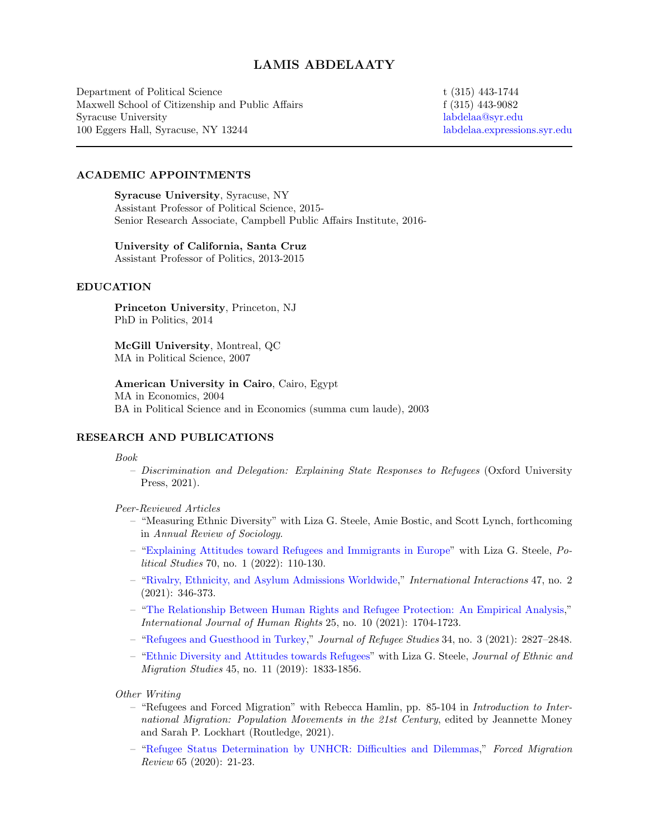# LAMIS ABDELAATY

Department of Political Science Maxwell School of Citizenship and Public Affairs Syracuse University 100 Eggers Hall, Syracuse, NY 13244

t (315) 443-1744 f (315) 443-9082 [labdelaa@syr.edu](mailto:labdelaa@syr.edu) [labdelaa.expressions.syr.edu](http://labdelaa.expressions.syr.edu)

## ACADEMIC APPOINTMENTS

Syracuse University, Syracuse, NY Assistant Professor of Political Science, 2015- Senior Research Associate, Campbell Public Affairs Institute, 2016-

## University of California, Santa Cruz

Assistant Professor of Politics, 2013-2015

# EDUCATION

Princeton University, Princeton, NJ PhD in Politics, 2014

McGill University, Montreal, QC MA in Political Science, 2007

American University in Cairo, Cairo, Egypt MA in Economics, 2004 BA in Political Science and in Economics (summa cum laude), 2003

# RESEARCH AND PUBLICATIONS

#### Book

- Discrimination and Delegation: Explaining State Responses to Refugees (Oxford University Press, 2021).
- Peer-Reviewed Articles
	- "Measuring Ethnic Diversity" with Liza G. Steele, Amie Bostic, and Scott Lynch, forthcoming in Annual Review of Sociology.
	- ["Explaining Attitudes toward Refugees and Immigrants in Europe"](https://doi.org/10.1177/0032321720950217) with Liza G. Steele, Political Studies 70, no. 1 (2022): 110-130.
	- ["Rivalry, Ethnicity, and Asylum Admissions Worldwide,](https://doi.org/10.1080/03050629.2020.1814768)" International Interactions 47, no. 2 (2021): 346-373.
	- ["The Relationship Between Human Rights and Refugee Protection: An Empirical Analysis,](https://doi.org/10.1080/13642987.2021.1874358)" International Journal of Human Rights 25, no. 10 (2021): 1704-1723.
	- ["Refugees and Guesthood in Turkey,](https://doi.org/10.1093/jrs/fez097)" Journal of Refugee Studies 34, no. 3 (2021): 2827–2848.
	- ["Ethnic Diversity and Attitudes towards Refugees"](https://doi.org/10.1080/1369183X.2018.1513785) with Liza G. Steele, Journal of Ethnic and Migration Studies 45, no. 11 (2019): 1833-1856.

Other Writing

- "Refugees and Forced Migration" with Rebecca Hamlin, pp. 85-104 in Introduction to International Migration: Population Movements in the 21st Century, edited by Jeannette Money and Sarah P. Lockhart (Routledge, 2021).
- ["Refugee Status Determination by UNHCR: Difficulties and Dilemmas,](https://www.fmreview.org/recognising-refugees/abdelaaty)" Forced Migration Review 65 (2020): 21-23.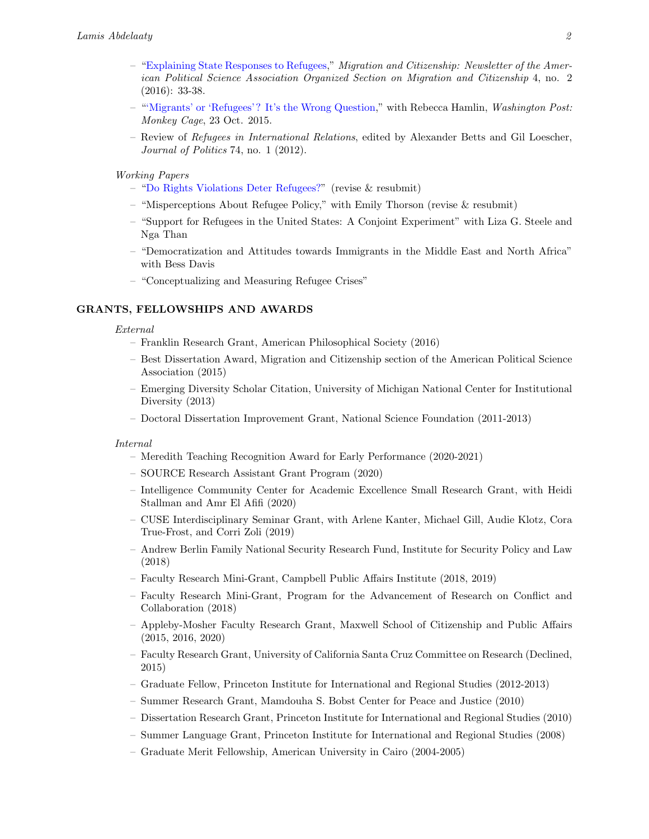- ["Explaining State Responses to Refugees,](https://connect.apsanet.org/s43/wp-content/uploads/sites/13/2017/06/APSACitizenshipMigrationNewsletter_42_final.pdf)" Migration and Citizenship: Newsletter of the American Political Science Association Organized Section on Migration and Citizenship 4, no. 2 (2016): 33-38.
- ["'Migrants' or 'Refugees'? It's the Wrong Question,](https://www.washingtonpost.com/news/monkey-cage/wp/2015/10/23/migrants-or-refugees-its-the-wrong-question-heres-how-to-help-the-people-fleeing-to-europe/)" with Rebecca Hamlin, Washington Post: Monkey Cage, 23 Oct. 2015.
- Review of Refugees in International Relations, edited by Alexander Betts and Gil Loescher, Journal of Politics 74, no. 1 (2012).

## Working Papers

- ["Do Rights Violations Deter Refugees?"](https://labdelaa.expressions.syr.edu/wp-content/uploads/SSRN-id3714970.pdf) (revise & resubmit)
- "Misperceptions About Refugee Policy," with Emily Thorson (revise & resubmit)
- "Support for Refugees in the United States: A Conjoint Experiment" with Liza G. Steele and Nga Than
- "Democratization and Attitudes towards Immigrants in the Middle East and North Africa" with Bess Davis
- "Conceptualizing and Measuring Refugee Crises"

## GRANTS, FELLOWSHIPS AND AWARDS

#### External

- Franklin Research Grant, American Philosophical Society (2016)
- Best Dissertation Award, Migration and Citizenship section of the American Political Science Association (2015)
- Emerging Diversity Scholar Citation, University of Michigan National Center for Institutional Diversity (2013)
- Doctoral Dissertation Improvement Grant, National Science Foundation (2011-2013)

#### Internal

- Meredith Teaching Recognition Award for Early Performance (2020-2021)
- SOURCE Research Assistant Grant Program (2020)
- Intelligence Community Center for Academic Excellence Small Research Grant, with Heidi Stallman and Amr El Afifi (2020)
- CUSE Interdisciplinary Seminar Grant, with Arlene Kanter, Michael Gill, Audie Klotz, Cora True-Frost, and Corri Zoli (2019)
- Andrew Berlin Family National Security Research Fund, Institute for Security Policy and Law (2018)
- Faculty Research Mini-Grant, Campbell Public Affairs Institute (2018, 2019)
- Faculty Research Mini-Grant, Program for the Advancement of Research on Conflict and Collaboration (2018)
- Appleby-Mosher Faculty Research Grant, Maxwell School of Citizenship and Public Affairs (2015, 2016, 2020)
- Faculty Research Grant, University of California Santa Cruz Committee on Research (Declined, 2015)
- Graduate Fellow, Princeton Institute for International and Regional Studies (2012-2013)
- Summer Research Grant, Mamdouha S. Bobst Center for Peace and Justice (2010)
- Dissertation Research Grant, Princeton Institute for International and Regional Studies (2010)
- Summer Language Grant, Princeton Institute for International and Regional Studies (2008)
- Graduate Merit Fellowship, American University in Cairo (2004-2005)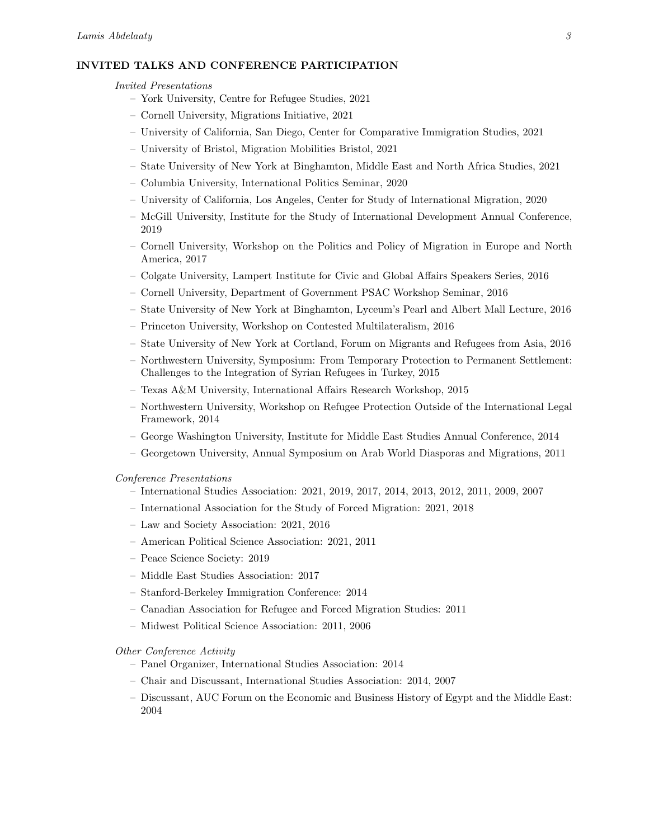# INVITED TALKS AND CONFERENCE PARTICIPATION

#### Invited Presentations

- York University, Centre for Refugee Studies, 2021
- Cornell University, Migrations Initiative, 2021
- University of California, San Diego, Center for Comparative Immigration Studies, 2021
- University of Bristol, Migration Mobilities Bristol, 2021
- State University of New York at Binghamton, Middle East and North Africa Studies, 2021
- Columbia University, International Politics Seminar, 2020
- University of California, Los Angeles, Center for Study of International Migration, 2020
- McGill University, Institute for the Study of International Development Annual Conference, 2019
- Cornell University, Workshop on the Politics and Policy of Migration in Europe and North America, 2017
- Colgate University, Lampert Institute for Civic and Global Affairs Speakers Series, 2016
- Cornell University, Department of Government PSAC Workshop Seminar, 2016
- State University of New York at Binghamton, Lyceum's Pearl and Albert Mall Lecture, 2016
- Princeton University, Workshop on Contested Multilateralism, 2016
- State University of New York at Cortland, Forum on Migrants and Refugees from Asia, 2016
- Northwestern University, Symposium: From Temporary Protection to Permanent Settlement: Challenges to the Integration of Syrian Refugees in Turkey, 2015
- Texas A&M University, International Affairs Research Workshop, 2015
- Northwestern University, Workshop on Refugee Protection Outside of the International Legal Framework, 2014
- George Washington University, Institute for Middle East Studies Annual Conference, 2014
- Georgetown University, Annual Symposium on Arab World Diasporas and Migrations, 2011

### Conference Presentations

- International Studies Association: 2021, 2019, 2017, 2014, 2013, 2012, 2011, 2009, 2007
- International Association for the Study of Forced Migration: 2021, 2018
- Law and Society Association: 2021, 2016
- American Political Science Association: 2021, 2011
- Peace Science Society: 2019
- Middle East Studies Association: 2017
- Stanford-Berkeley Immigration Conference: 2014
- Canadian Association for Refugee and Forced Migration Studies: 2011
- Midwest Political Science Association: 2011, 2006

## Other Conference Activity

- Panel Organizer, International Studies Association: 2014
- Chair and Discussant, International Studies Association: 2014, 2007
- Discussant, AUC Forum on the Economic and Business History of Egypt and the Middle East: 2004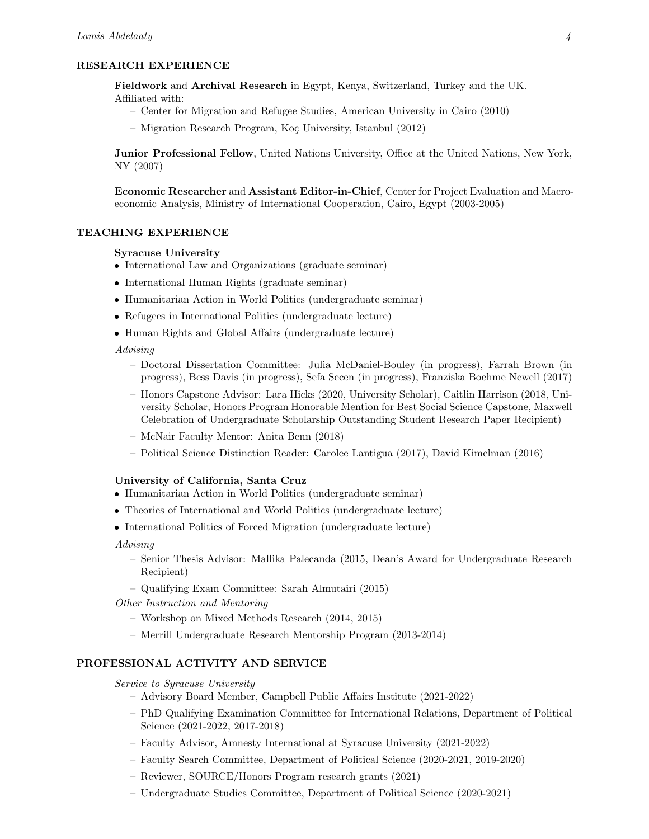# RESEARCH EXPERIENCE

Fieldwork and Archival Research in Egypt, Kenya, Switzerland, Turkey and the UK. Affiliated with:

- Center for Migration and Refugee Studies, American University in Cairo (2010)
- Migration Research Program, Koç University, Istanbul (2012)

Junior Professional Fellow, United Nations University, Office at the United Nations, New York, NY (2007)

Economic Researcher and Assistant Editor-in-Chief, Center for Project Evaluation and Macroeconomic Analysis, Ministry of International Cooperation, Cairo, Egypt (2003-2005)

# TEACHING EXPERIENCE

## Syracuse University

- International Law and Organizations (graduate seminar)
- International Human Rights (graduate seminar)
- Humanitarian Action in World Politics (undergraduate seminar)
- Refugees in International Politics (undergraduate lecture)
- Human Rights and Global Affairs (undergraduate lecture)

## Advising

- Doctoral Dissertation Committee: Julia McDaniel-Bouley (in progress), Farrah Brown (in progress), Bess Davis (in progress), Sefa Secen (in progress), Franziska Boehme Newell (2017)
- Honors Capstone Advisor: Lara Hicks (2020, University Scholar), Caitlin Harrison (2018, University Scholar, Honors Program Honorable Mention for Best Social Science Capstone, Maxwell Celebration of Undergraduate Scholarship Outstanding Student Research Paper Recipient)
- McNair Faculty Mentor: Anita Benn (2018)
- Political Science Distinction Reader: Carolee Lantigua (2017), David Kimelman (2016)

## University of California, Santa Cruz

- Humanitarian Action in World Politics (undergraduate seminar)
- Theories of International and World Politics (undergraduate lecture)
- International Politics of Forced Migration (undergraduate lecture)

#### Advising

- Senior Thesis Advisor: Mallika Palecanda (2015, Dean's Award for Undergraduate Research Recipient)
- Qualifying Exam Committee: Sarah Almutairi (2015)
- Other Instruction and Mentoring
	- Workshop on Mixed Methods Research (2014, 2015)
	- Merrill Undergraduate Research Mentorship Program (2013-2014)

## PROFESSIONAL ACTIVITY AND SERVICE

Service to Syracuse University

- Advisory Board Member, Campbell Public Affairs Institute (2021-2022)
- PhD Qualifying Examination Committee for International Relations, Department of Political Science (2021-2022, 2017-2018)
- Faculty Advisor, Amnesty International at Syracuse University (2021-2022)
- Faculty Search Committee, Department of Political Science (2020-2021, 2019-2020)
- Reviewer, SOURCE/Honors Program research grants (2021)
- Undergraduate Studies Committee, Department of Political Science (2020-2021)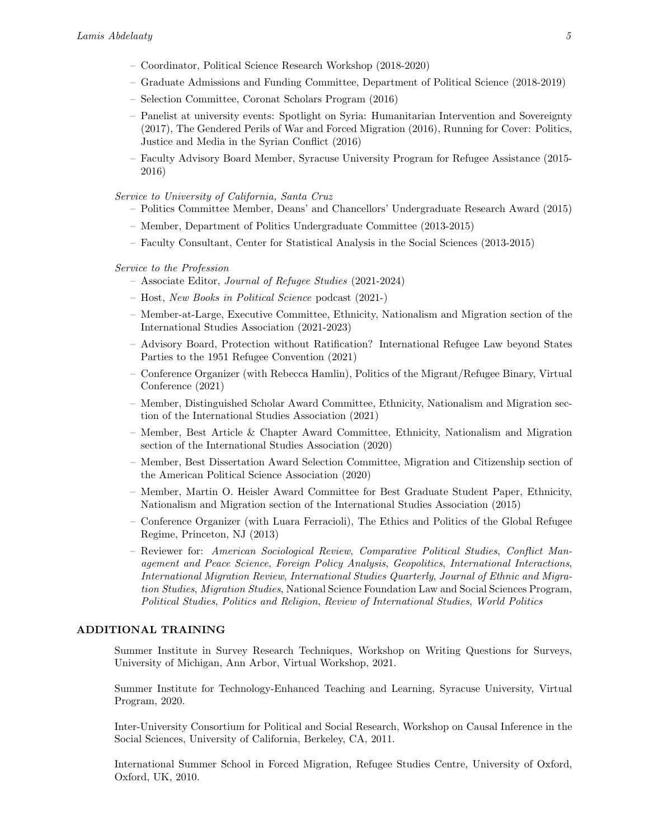- Coordinator, Political Science Research Workshop (2018-2020)
- Graduate Admissions and Funding Committee, Department of Political Science (2018-2019)
- Selection Committee, Coronat Scholars Program (2016)
- Panelist at university events: Spotlight on Syria: Humanitarian Intervention and Sovereignty (2017), The Gendered Perils of War and Forced Migration (2016), Running for Cover: Politics, Justice and Media in the Syrian Conflict (2016)
- Faculty Advisory Board Member, Syracuse University Program for Refugee Assistance (2015- 2016)

Service to University of California, Santa Cruz

- Politics Committee Member, Deans' and Chancellors' Undergraduate Research Award (2015)
- Member, Department of Politics Undergraduate Committee (2013-2015)
- Faculty Consultant, Center for Statistical Analysis in the Social Sciences (2013-2015)

Service to the Profession

- Associate Editor, Journal of Refugee Studies (2021-2024)
- Host, New Books in Political Science podcast (2021-)
- Member-at-Large, Executive Committee, Ethnicity, Nationalism and Migration section of the International Studies Association (2021-2023)
- Advisory Board, Protection without Ratification? International Refugee Law beyond States Parties to the 1951 Refugee Convention (2021)
- Conference Organizer (with Rebecca Hamlin), Politics of the Migrant/Refugee Binary, Virtual Conference (2021)
- Member, Distinguished Scholar Award Committee, Ethnicity, Nationalism and Migration section of the International Studies Association (2021)
- Member, Best Article & Chapter Award Committee, Ethnicity, Nationalism and Migration section of the International Studies Association (2020)
- Member, Best Dissertation Award Selection Committee, Migration and Citizenship section of the American Political Science Association (2020)
- Member, Martin O. Heisler Award Committee for Best Graduate Student Paper, Ethnicity, Nationalism and Migration section of the International Studies Association (2015)
- Conference Organizer (with Luara Ferracioli), The Ethics and Politics of the Global Refugee Regime, Princeton, NJ (2013)
- Reviewer for: American Sociological Review, Comparative Political Studies, Conflict Management and Peace Science, Foreign Policy Analysis, Geopolitics, International Interactions, International Migration Review, International Studies Quarterly, Journal of Ethnic and Migration Studies, Migration Studies, National Science Foundation Law and Social Sciences Program, Political Studies, Politics and Religion, Review of International Studies, World Politics

## ADDITIONAL TRAINING

Summer Institute in Survey Research Techniques, Workshop on Writing Questions for Surveys, University of Michigan, Ann Arbor, Virtual Workshop, 2021.

Summer Institute for Technology-Enhanced Teaching and Learning, Syracuse University, Virtual Program, 2020.

Inter-University Consortium for Political and Social Research, Workshop on Causal Inference in the Social Sciences, University of California, Berkeley, CA, 2011.

International Summer School in Forced Migration, Refugee Studies Centre, University of Oxford, Oxford, UK, 2010.